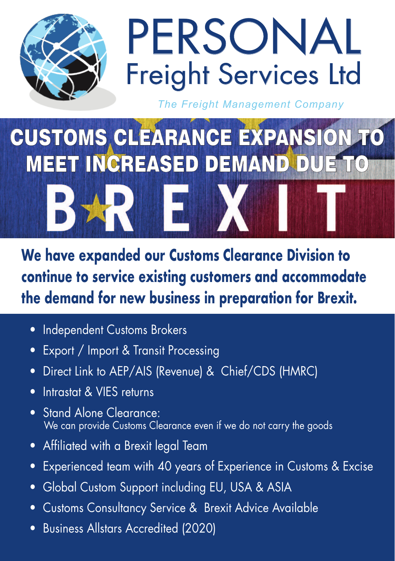

## PERSONAL Freight Services Ltd

*The Freight Management Company*

## CUSTOMS CLEARANCE EXPANSION TO MEET INCREASED DEMAND DUE TO

**We have expanded our Customs Clearance Division to continue to service existing customers and accommodate the demand for new business in preparation for Brexit.**

- Independent Customs Brokers
- Export / Import & Transit Processing
- Direct Link to AEP/AIS (Revenue) & Chief/CDS (HMRC)
- Intrastat & VIES returns
- Stand Alone Clearance: We can provide Customs Clearance even if we do not carry the goods
- Affiliated with a Brexit legal Team
- Experienced team with 40 years of Experience in Customs & Excise
- Global Custom Support including EU, USA & ASIA
- Customs Consultancy Service & Brexit Advice Available
- Business Allstars Accredited (2020)